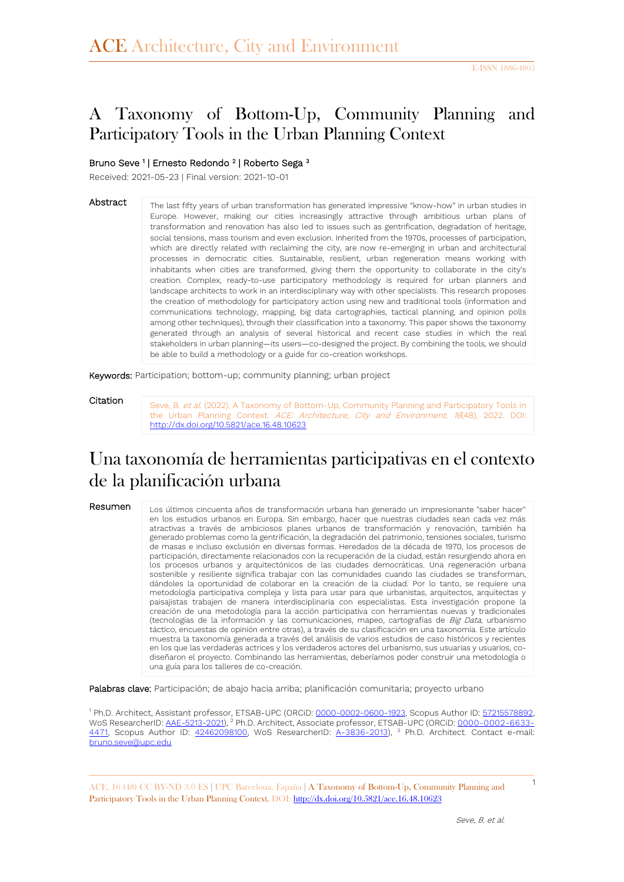# A Taxonomy of Bottom-Up, Community Planning and Participatory Tools in the Urban Planning Context

#### Bruno Seve<sup>1</sup> | Ernesto Redondo<sup>2</sup> | Roberto Sega<sup>3</sup>

Received: 2021-05-23 | Final version: 2021-10-01

Abstract

The last fifty years of urban transformation has generated impressive "know-how" in urban studies in Europe. However, making our cities increasingly attractive through ambitious urban plans of transformation and renovation has also led to issues such as gentrification, degradation of heritage, social tensions, mass tourism and even exclusion. Inherited from the 1970s, processes of participation, which are directly related with reclaiming the city, are now re-emerging in urban and architectural processes in democratic cities. Sustainable, resilient, urban regeneration means working with inhabitants when cities are transformed, giving them the opportunity to collaborate in the city's creation. Complex, ready-to-use participatory methodology is required for urban planners and landscape architects to work in an interdisciplinary way with other specialists. This research proposes the creation of methodology for participatory action using new and traditional tools (information and communications technology, mapping, big data cartographies, tactical planning, and opinion polls among other techniques), through their classification into a taxonomy. This paper shows the taxonomy generated through an analysis of several historical and recent case studies in which the real stakeholders in urban planning—its users—co-designed the project. By combining the tools, we should be able to build a methodology or a guide for co-creation workshops.

Keywords: Participation; bottom-up; community planning; urban project

Citation

Seve, B. et al. (2022). A Taxonomy of Bottom-Up, Community Planning and Participatory Tools in the Urban Planning Context. ACE: Architecture, City and Environment, 16(48), 2022. DOI: <http://dx.doi.org/10.5821/ace.16.48.10623>

# Una taxonomía de herramientas participativas en el contexto de la planificación urbana

Resumen

Los últimos cincuenta años de transformación urbana han generado un impresionante "saber hacer" en los estudios urbanos en Europa. Sin embargo, hacer que nuestras ciudades sean cada vez más atractivas a través de ambiciosos planes urbanos de transformación y renovación, también ha generado problemas como la gentrificación, la degradación del patrimonio, tensiones sociales, turismo de masas e incluso exclusión en diversas formas. Heredados de la década de 1970, los procesos de participación, directamente relacionados con la recuperación de la ciudad, están resurgiendo ahora en los procesos urbanos y arquitectónicos de las ciudades democráticas. Una regeneración urbana sostenible y resiliente significa trabajar con las comunidades cuando las ciudades se transforman, dándoles la oportunidad de colaborar en la creación de la ciudad. Por lo tanto, se requiere una metodología participativa compleja y lista para usar para que urbanistas, arquitectos, arquitectas y paisajistas trabajen de manera interdisciplinaria con especialistas. Esta investigación propone la creación de una metodología para la acción participativa con herramientas nuevas y tradicionales (tecnologías de la información y las comunicaciones, mapeo, cartografías de Big Data, urbanismo táctico, encuestas de opinión entre otras), a través de su clasificación en una taxonomía. Este artículo muestra la taxonomía generada a través del análisis de varios estudios de caso históricos y recientes en los que las verdaderas actrices y los verdaderos actores del urbanismo, sus usuarias y usuarios, codiseñaron el proyecto. Combinando las herramientas, deberíamos poder construir una metodología o una guía para los talleres de co-creación.

Palabras clave: Participación; de abajo hacia arriba; planificación comunitaria; proyecto urbano

<sup>1</sup> Ph.D. Architect, Assistant professor, ETSAB-UPC (ORCiD[: 0000-0002-0600-1923,](https://orcid.org/0000-0002-0600-1923) Scopus Author ID: 57215578892, WoS ResearcherID: <u>AAE-5213-2021),</u> <sup>2</sup> Ph.D. Architect, Associate professor, ETSAB-UPC (ORCiD: <u>0000-0002-6633-</u> [4471,](https://orcid.org/0000-0002-6633-4471) Scopus Author ID: [42462098100,](https://www.scopus.com/authid/detail.uri?authorId=42462098100) WoS ResearcherID: [A-3836-2013\)](https://publons.com/researcher/2680446/ernest-redondo/), <sup>3</sup> Ph.D. Architect. Contact e-mail: [bruno.seve@upc.edu](mailto:bruno.seve@upc.edu)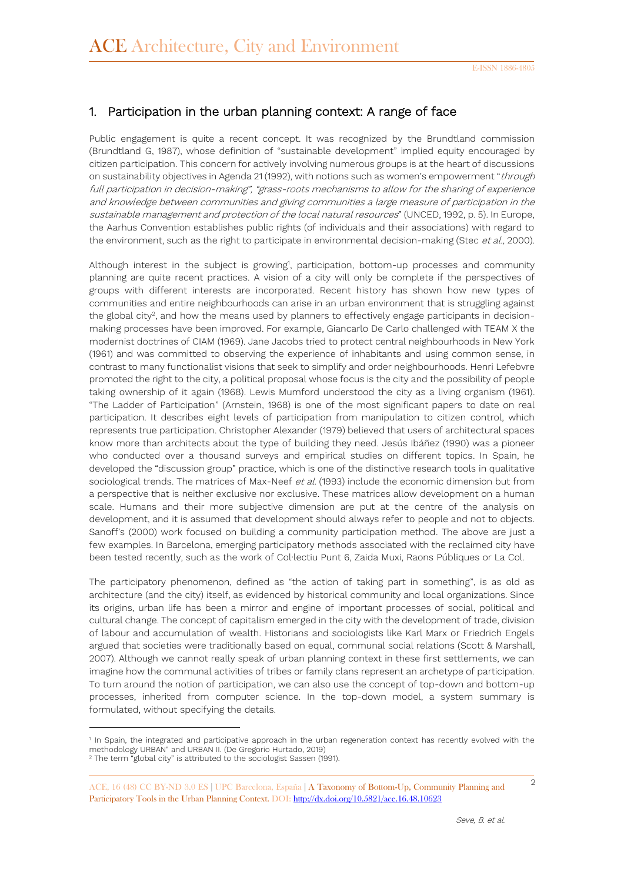## 1. Participation in the urban planning context: A range of face

Public engagement is quite a recent concept. It was recognized by the Brundtland commission (Brundtland G, 1987), whose definition of "sustainable development" implied equity encouraged by citizen participation. This concern for actively involving numerous groups is at the heart of discussions on sustainability objectives in Agenda 21 (1992), with notions such as women's empowerment "through full participation in decision-making", "grass-roots mechanisms to allow for the sharing of experience and knowledge between communities and giving communities a large measure of participation in the sustainable management and protection of the local natural resources" (UNCED, 1992, p. 5). In Europe, the Aarhus Convention establishes public rights (of individuals and their associations) with regard to the environment, such as the right to participate in environmental decision-making (Stec et al., 2000).

Although interest in the subject is growing<sup>1</sup>, participation, bottom-up processes and community planning are quite recent practices. A vision of a city will only be complete if the perspectives of groups with different interests are incorporated. Recent history has shown how new types of communities and entire neighbourhoods can arise in an urban environment that is struggling against the global city<sup>2</sup>, and how the means used by planners to effectively engage participants in decisionmaking processes have been improved. For example, Giancarlo De Carlo challenged with TEAM X the modernist doctrines of CIAM (1969). Jane Jacobs tried to protect central neighbourhoods in New York (1961) and was committed to observing the experience of inhabitants and using common sense, in contrast to many functionalist visions that seek to simplify and order neighbourhoods. Henri Lefebvre promoted the right to the city, a political proposal whose focus is the city and the possibility of people taking ownership of it again (1968). Lewis Mumford understood the city as a living organism (1961). "The Ladder of Participation" (Arnstein, 1968) is one of the most significant papers to date on real participation. It describes eight levels of participation from manipulation to citizen control, which represents true participation. Christopher Alexander (1979) believed that users of architectural spaces know more than architects about the type of building they need. Jesús Ibáñez (1990) was a pioneer who conducted over a thousand surveys and empirical studies on different topics. In Spain, he developed the "discussion group" practice, which is one of the distinctive research tools in qualitative sociological trends. The matrices of Max-Neef et al. (1993) include the economic dimension but from a perspective that is neither exclusive nor exclusive. These matrices allow development on a human scale. Humans and their more subjective dimension are put at the centre of the analysis on development, and it is assumed that development should always refer to people and not to objects. Sanoff's (2000) work focused on building a community participation method. The above are just a few examples. In Barcelona, emerging participatory methods associated with the reclaimed city have been tested recently, such as the work of Col·lectiu Punt 6, Zaida Muxi, Raons Públiques or La Col.

The participatory phenomenon, defined as "the action of taking part in something", is as old as architecture (and the city) itself, as evidenced by historical community and local organizations. Since its origins, urban life has been a mirror and engine of important processes of social, political and cultural change. The concept of capitalism emerged in the city with the development of trade, division of labour and accumulation of wealth. Historians and sociologists like Karl Marx or Friedrich Engels argued that societies were traditionally based on equal, communal social relations (Scott & Marshall, 2007). Although we cannot really speak of urban planning context in these first settlements, we can imagine how the communal activities of tribes or family clans represent an archetype of participation. To turn around the notion of participation, we can also use the concept of top-down and bottom-up processes, inherited from computer science. In the top-down model, a system summary is formulated, without specifying the details.

-

<sup>1</sup> In Spain, the integrated and participative approach in the urban regeneration context has recently evolved with the methodology URBAN" and URBAN II. (De Gregorio Hurtado, 2019) <sup>2</sup> The term "global city" is attributed to the sociologist Sassen (1991).

<sup>2</sup> ACE, 16 (48) CC BY-ND 3.0 ES **<sup>|</sup>**UPC Barcelona, España **<sup>|</sup>** A Taxonomy of Bottom-Up, Community Planning and Participatory Tools in the Urban Planning Context. DOI[: http://dx.doi.org/10.5821/ace.16.48.10623](http://dx.doi.org/10.5821/ace.16.48.10623)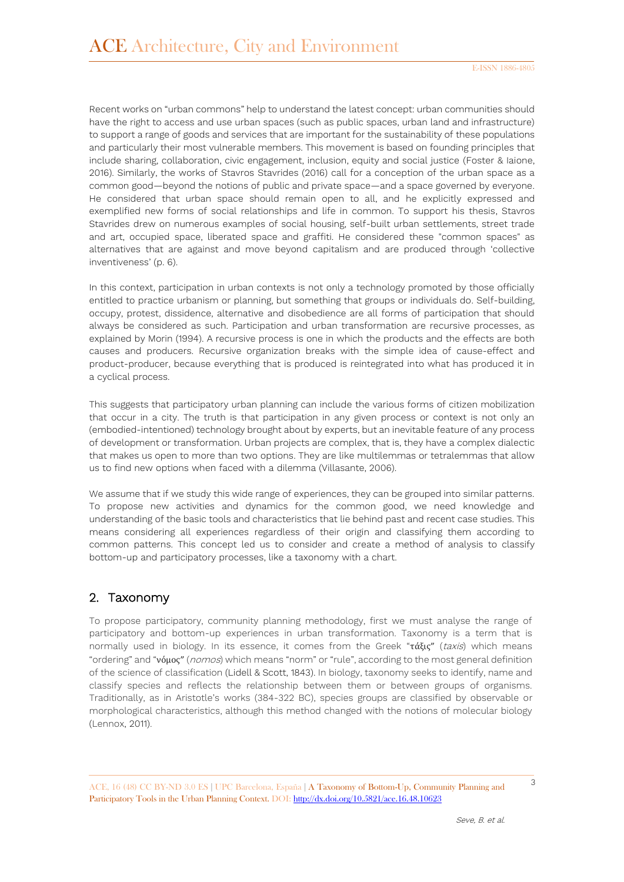Recent works on "urban commons" help to understand the latest concept: urban communities should have the right to access and use urban spaces (such as public spaces, urban land and infrastructure) to support a range of goods and services that are important for the sustainability of these populations and particularly their most vulnerable members. This movement is based on founding principles that include sharing, collaboration, civic engagement, inclusion, equity and social justice (Foster & Iaione, 2016). Similarly, the works of Stavros Stavrides (2016) call for a conception of the urban space as a common good—beyond the notions of public and private space—and a space governed by everyone. He considered that urban space should remain open to all, and he explicitly expressed and exemplified new forms of social relationships and life in common. To support his thesis, Stavros Stavrides drew on numerous examples of social housing, self-built urban settlements, street trade and art, occupied space, liberated space and graffiti. He considered these "common spaces" as alternatives that are against and move beyond capitalism and are produced through 'collective inventiveness' (p. 6).

In this context, participation in urban contexts is not only a technology promoted by those officially entitled to practice urbanism or planning, but something that groups or individuals do. Self-building, occupy, protest, dissidence, alternative and disobedience are all forms of participation that should always be considered as such. Participation and urban transformation are recursive processes, as explained by Morin (1994). A recursive process is one in which the products and the effects are both causes and producers. Recursive organization breaks with the simple idea of cause-effect and product-producer, because everything that is produced is reintegrated into what has produced it in a cyclical process.

This suggests that participatory urban planning can include the various forms of citizen mobilization that occur in a city. The truth is that participation in any given process or context is not only an (embodied-intentioned) technology brought about by experts, but an inevitable feature of any process of development or transformation. Urban projects are complex, that is, they have a complex dialectic that makes us open to more than two options. They are like multilemmas or tetralemmas that allow us to find new options when faced with a dilemma (Villasante, 2006).

We assume that if we study this wide range of experiences, they can be grouped into similar patterns. To propose new activities and dynamics for the common good, we need knowledge and understanding of the basic tools and characteristics that lie behind past and recent case studies. This means considering all experiences regardless of their origin and classifying them according to common patterns. This concept led us to consider and create a method of analysis to classify bottom-up and participatory processes, like a taxonomy with a chart.

### 2. Taxonomy

To propose participatory, community planning methodology, first we must analyse the range of participatory and bottom-up experiences in urban transformation. Taxonomy is a term that is normally used in biology. In its essence, it comes from the Greek "τάξις" (taxis) which means "ordering" and "νόμος" (nomos) which means "norm" or "rule", according to the most general definition of the science of classification (Lidell & Scott, 1843). In biology, taxonomy seeks to identify, name and classify species and reflects the relationship between them or between groups of organisms. Traditionally, as in Aristotle's works (384-322 BC), species groups are classified by observable or morphological characteristics, although this method changed with the notions of molecular biology (Lennox, 2011).

<sup>3</sup> ACE, 16 (48) CC BY-ND 3.0 ES **<sup>|</sup>**UPC Barcelona, España **<sup>|</sup>** A Taxonomy of Bottom-Up, Community Planning and Participatory Tools in the Urban Planning Context. DOI[: http://dx.doi.org/10.5821/ace.16.48.10623](http://dx.doi.org/10.5821/ace.16.48.10623)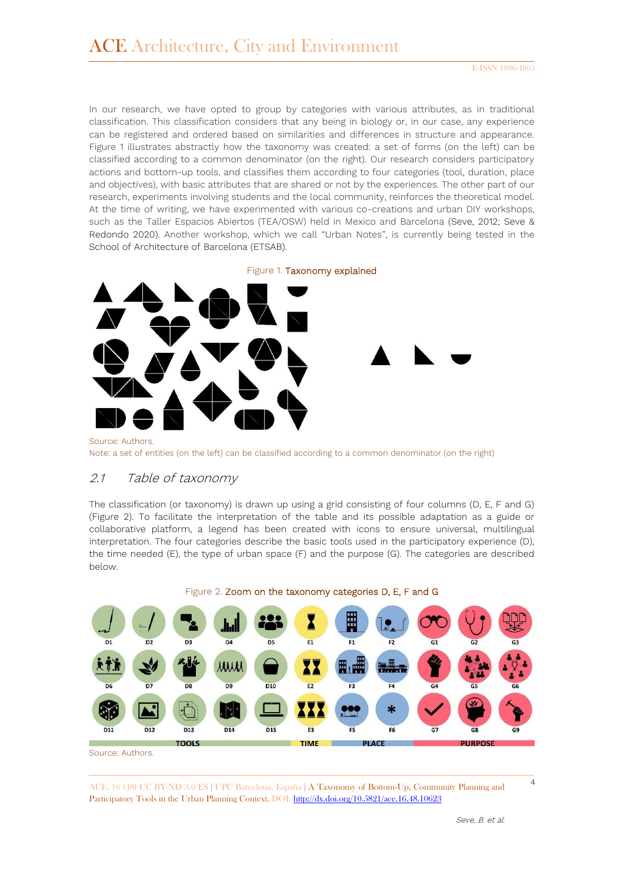In our research, we have opted to group by categories with various attributes, as in traditional classification. This classification considers that any being in biology or, in our case, any experience can be registered and ordered based on similarities and differences in structure and appearance. Figure 1 illustrates abstractly how the taxonomy was created: a set of forms (on the left) can be classified according to a common denominator (on the right). Our research considers participatory actions and bottom-up tools, and classifies them according to four categories (tool, duration, place and objectives), with basic attributes that are shared or not by the experiences. The other part of our research, experiments involving students and the local community, reinforces the theoretical model. At the time of writing, we have experimented with various co-creations and urban DIY workshops, such as the Taller Espacios Abiertos (TEA/OSW) held in Mexico and Barcelona (Seve, 2012; Seve & Redondo 2020). Another workshop, which we call "Urban Notes", is currently being tested in the School of Architecture of Barcelona (ETSAB).



Source: Authors. Note: a set of entities (on the left) can be classified according to a common denominator (on the right)

### 2.1 Table of taxonomy

The classification (or taxonomy) is drawn up using a grid consisting of four columns (D, E, F and G) (Figure 2). To facilitate the interpretation of the table and its possible adaptation as a guide or collaborative platform, a legend has been created with icons to ensure universal, multilingual interpretation. The four categories describe the basic tools used in the participatory experience (D), the time needed (E), the type of urban space (F) and the purpose (G). The categories are described below.



Source: Authors.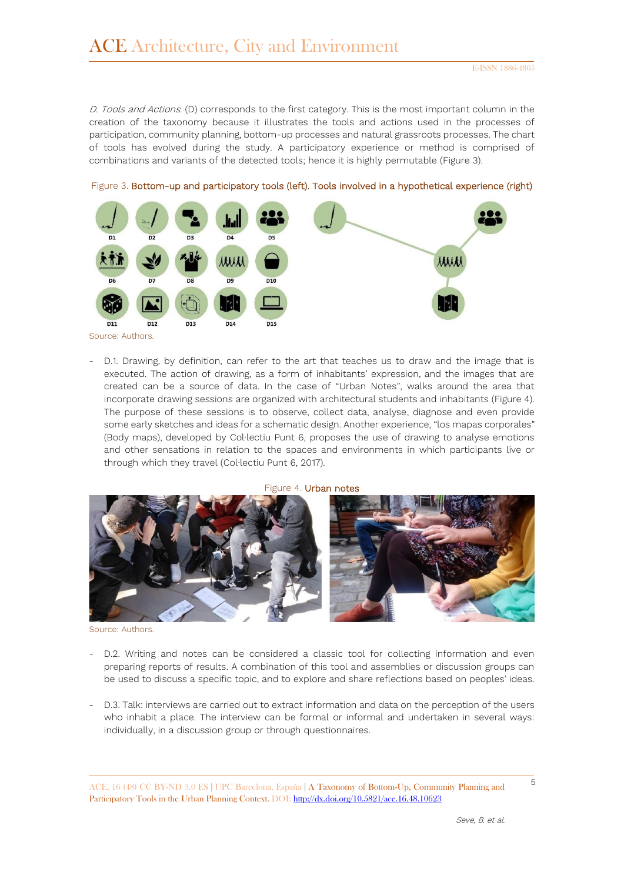D. Tools and Actions. (D) corresponds to the first category. This is the most important column in the creation of the taxonomy because it illustrates the tools and actions used in the processes of participation, community planning, bottom-up processes and natural grassroots processes. The chart of tools has evolved during the study. A participatory experience or method is comprised of combinations and variants of the detected tools; hence it is highly permutable (Figure 3).



Figure 3. Bottom-up and participatory tools (left). Tools involved in a hypothetical experience (right)

Source: Authors.

- D.1. Drawing, by definition, can refer to the art that teaches us to draw and the image that is executed. The action of drawing, as a form of inhabitants' expression, and the images that are created can be a source of data. In the case of "Urban Notes", walks around the area that incorporate drawing sessions are organized with architectural students and inhabitants (Figure 4). The purpose of these sessions is to observe, collect data, analyse, diagnose and even provide some early sketches and ideas for a schematic design. Another experience, "los mapas corporales" (Body maps), developed by Col∙lectiu Punt 6, proposes the use of drawing to analyse emotions and other sensations in relation to the spaces and environments in which participants live or through which they travel (Col∙lectiu Punt 6, 2017).

Figure 4. Urban notes



Source: Authors.

- D.2. Writing and notes can be considered a classic tool for collecting information and even preparing reports of results. A combination of this tool and assemblies or discussion groups can be used to discuss a specific topic, and to explore and share reflections based on peoples' ideas.
- D.3. Talk: interviews are carried out to extract information and data on the perception of the users who inhabit a place. The interview can be formal or informal and undertaken in several ways: individually, in a discussion group or through questionnaires.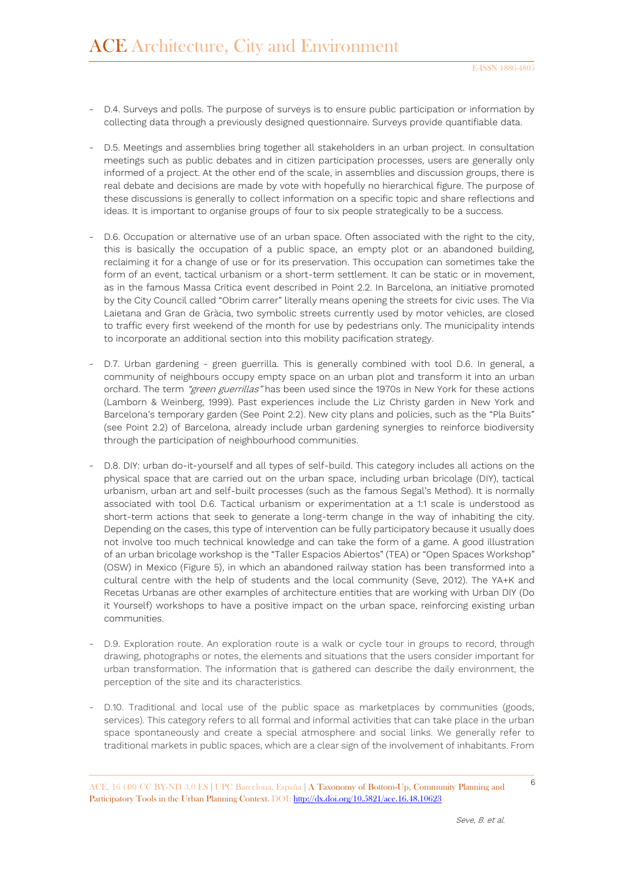- D.4. Surveys and polls. The purpose of surveys is to ensure public participation or information by collecting data through a previously designed questionnaire. Surveys provide quantifiable data.
- D.5. Meetings and assemblies bring together all stakeholders in an urban project. In consultation meetings such as public debates and in citizen participation processes, users are generally only informed of a project. At the other end of the scale, in assemblies and discussion groups, there is real debate and decisions are made by vote with hopefully no hierarchical figure. The purpose of these discussions is generally to collect information on a specific topic and share reflections and ideas. It is important to organise groups of four to six people strategically to be a success.
- D.6. Occupation or alternative use of an urban space. Often associated with the right to the city, this is basically the occupation of a public space, an empty plot or an abandoned building, reclaiming it for a change of use or for its preservation. This occupation can sometimes take the form of an event, tactical urbanism or a short-term settlement. It can be static or in movement, as in the famous Massa Critica event described in Point 2.2. In Barcelona, an initiative promoted by the City Council called "Obrim carrer" literally means opening the streets for civic uses. The Via Laietana and Gran de Gràcia, two symbolic streets currently used by motor vehicles, are closed to traffic every first weekend of the month for use by pedestrians only. The municipality intends to incorporate an additional section into this mobility pacification strategy.
- D.7. Urban gardening green guerrilla. This is generally combined with tool D.6. In general, a community of neighbours occupy empty space on an urban plot and transform it into an urban orchard. The term "green guerrillas" has been used since the 1970s in New York for these actions (Lamborn & Weinberg, 1999). Past experiences include the Liz Christy garden in New York and Barcelona's temporary garden (See Point 2.2). New city plans and policies, such as the "Pla Buits" (see Point 2.2) of Barcelona, already include urban gardening synergies to reinforce biodiversity through the participation of neighbourhood communities.
- D.8. DIY: urban do-it-yourself and all types of self-build. This category includes all actions on the physical space that are carried out on the urban space, including urban bricolage (DIY), tactical urbanism, urban art and self-built processes (such as the famous Segal's Method). It is normally associated with tool D.6. Tactical urbanism or experimentation at a 1:1 scale is understood as short-term actions that seek to generate a long-term change in the way of inhabiting the city. Depending on the cases, this type of intervention can be fully participatory because it usually does not involve too much technical knowledge and can take the form of a game. A good illustration of an urban bricolage workshop is the "Taller Espacios Abiertos" (TEA) or "Open Spaces Workshop" (OSW) in Mexico (Figure 5), in which an abandoned railway station has been transformed into a cultural centre with the help of students and the local community (Seve, 2012). The YA+K and Recetas Urbanas are other examples of architecture entities that are working with Urban DIY (Do it Yourself) workshops to have a positive impact on the urban space, reinforcing existing urban communities.
- D.9. Exploration route. An exploration route is a walk or cycle tour in groups to record, through drawing, photographs or notes, the elements and situations that the users consider important for urban transformation. The information that is gathered can describe the daily environment, the perception of the site and its characteristics.
- D.10. Traditional and local use of the public space as marketplaces by communities (goods, services). This category refers to all formal and informal activities that can take place in the urban space spontaneously and create a special atmosphere and social links. We generally refer to traditional markets in public spaces, which are a clear sign of the involvement of inhabitants. From

<sup>6</sup> ACE, 16 (48) CC BY-ND 3.0 ES **<sup>|</sup>**UPC Barcelona, España **<sup>|</sup>** A Taxonomy of Bottom-Up, Community Planning and Participatory Tools in the Urban Planning Context. DOI[: http://dx.doi.org/10.5821/ace.16.48.10623](http://dx.doi.org/10.5821/ace.16.48.10623)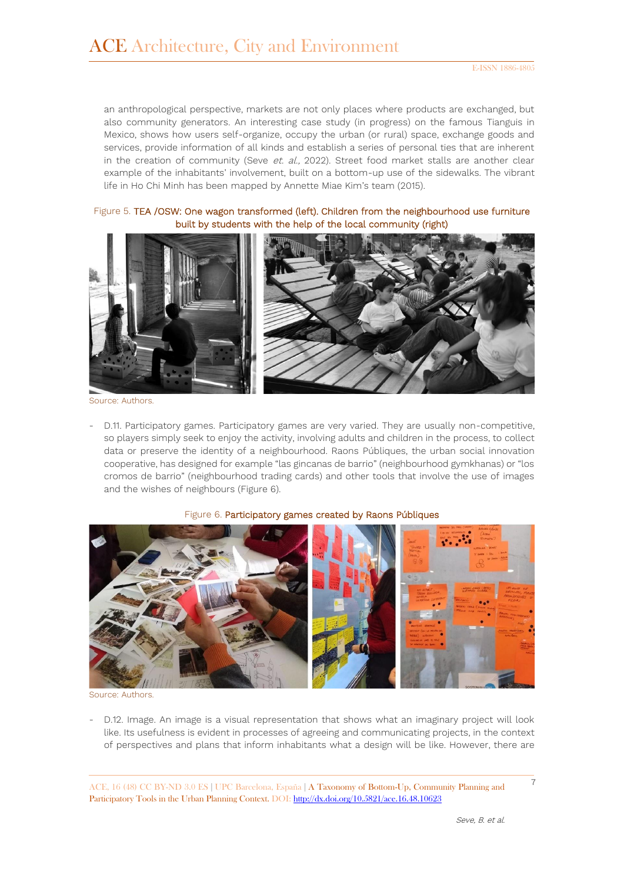an anthropological perspective, markets are not only places where products are exchanged, but also community generators. An interesting case study (in progress) on the famous Tianguis in Mexico, shows how users self-organize, occupy the urban (or rural) space, exchange goods and services, provide information of all kinds and establish a series of personal ties that are inherent in the creation of community (Seve et.  $al.$ , 2022). Street food market stalls are another clear example of the inhabitants' involvement, built on a bottom-up use of the sidewalks. The vibrant life in Ho Chi Minh has been mapped by Annette Miae Kim's team (2015).

Figure 5. TEA /OSW: One wagon transformed (left). Children from the neighbourhood use furniture built by students with the help of the local community (right)



Source: Authors.

- D.11. Participatory games. Participatory games are very varied. They are usually non-competitive, so players simply seek to enjoy the activity, involving adults and children in the process, to collect data or preserve the identity of a neighbourhood. Raons Públiques, the urban social innovation cooperative, has designed for example "las gincanas de barrio" (neighbourhood gymkhanas) or "los cromos de barrio" (neighbourhood trading cards) and other tools that involve the use of images and the wishes of neighbours (Figure 6).

#### Figure 6. Participatory games created by Raons Públiques



Source: Authors.

- D.12. Image. An image is a visual representation that shows what an imaginary project will look like. Its usefulness is evident in processes of agreeing and communicating projects, in the context of perspectives and plans that inform inhabitants what a design will be like. However, there are

<sup>7</sup> ACE, 16 (48) CC BY-ND 3.0 ES **<sup>|</sup>**UPC Barcelona, España **<sup>|</sup>** A Taxonomy of Bottom-Up, Community Planning and Participatory Tools in the Urban Planning Context. DOI[: http://dx.doi.org/10.5821/ace.16.48.10623](http://dx.doi.org/10.5821/ace.16.48.10623)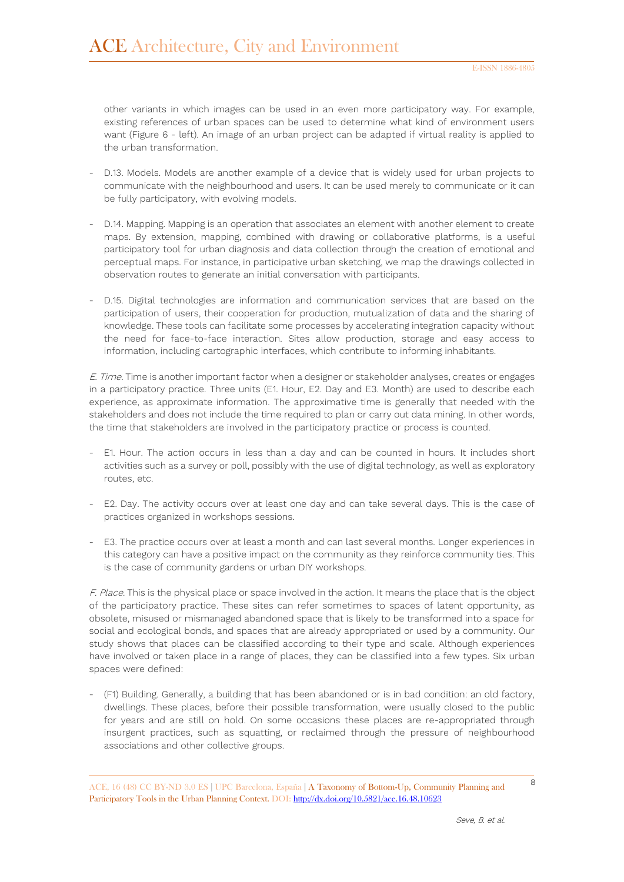other variants in which images can be used in an even more participatory way. For example, existing references of urban spaces can be used to determine what kind of environment users want (Figure 6 - left). An image of an urban project can be adapted if virtual reality is applied to the urban transformation.

- D.13. Models. Models are another example of a device that is widely used for urban projects to communicate with the neighbourhood and users. It can be used merely to communicate or it can be fully participatory, with evolving models.
- D.14. Mapping. Mapping is an operation that associates an element with another element to create maps. By extension, mapping, combined with drawing or collaborative platforms, is a useful participatory tool for urban diagnosis and data collection through the creation of emotional and perceptual maps. For instance, in participative urban sketching, we map the drawings collected in observation routes to generate an initial conversation with participants.
- D.15. Digital technologies are information and communication services that are based on the participation of users, their cooperation for production, mutualization of data and the sharing of knowledge. These tools can facilitate some processes by accelerating integration capacity without the need for face-to-face interaction. Sites allow production, storage and easy access to information, including cartographic interfaces, which contribute to informing inhabitants.

E. Time. Time is another important factor when a designer or stakeholder analyses, creates or engages in a participatory practice. Three units (E1. Hour, E2. Day and E3. Month) are used to describe each experience, as approximate information. The approximative time is generally that needed with the stakeholders and does not include the time required to plan or carry out data mining. In other words, the time that stakeholders are involved in the participatory practice or process is counted.

- E1. Hour. The action occurs in less than a day and can be counted in hours. It includes short activities such as a survey or poll, possibly with the use of digital technology, as well as exploratory routes, etc.
- E2. Day. The activity occurs over at least one day and can take several days. This is the case of practices organized in workshops sessions.
- E3. The practice occurs over at least a month and can last several months. Longer experiences in this category can have a positive impact on the community as they reinforce community ties. This is the case of community gardens or urban DIY workshops.

F. Place. This is the physical place or space involved in the action. It means the place that is the object of the participatory practice. These sites can refer sometimes to spaces of latent opportunity, as obsolete, misused or mismanaged abandoned space that is likely to be transformed into a space for social and ecological bonds, and spaces that are already appropriated or used by a community. Our study shows that places can be classified according to their type and scale. Although experiences have involved or taken place in a range of places, they can be classified into a few types. Six urban spaces were defined:

- (F1) Building. Generally, a building that has been abandoned or is in bad condition: an old factory, dwellings. These places, before their possible transformation, were usually closed to the public for years and are still on hold. On some occasions these places are re-appropriated through insurgent practices, such as squatting, or reclaimed through the pressure of neighbourhood associations and other collective groups.

<sup>8</sup> ACE, 16 (48) CC BY-ND 3.0 ES **<sup>|</sup>**UPC Barcelona, España **<sup>|</sup>** A Taxonomy of Bottom-Up, Community Planning and Participatory Tools in the Urban Planning Context. DOI[: http://dx.doi.org/10.5821/ace.16.48.10623](http://dx.doi.org/10.5821/ace.16.48.10623)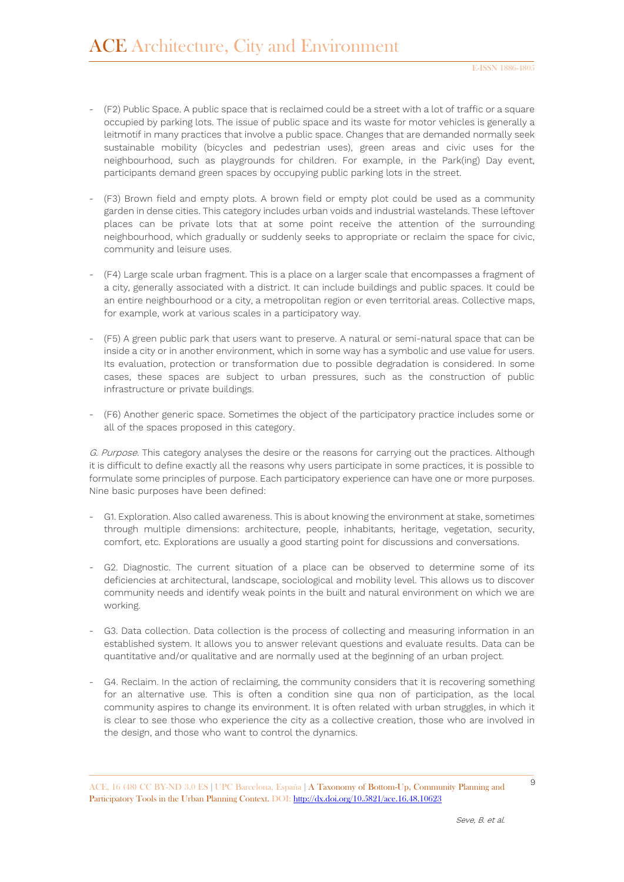- (F2) Public Space. A public space that is reclaimed could be a street with a lot of traffic or a square occupied by parking lots. The issue of public space and its waste for motor vehicles is generally a leitmotif in many practices that involve a public space. Changes that are demanded normally seek sustainable mobility (bicycles and pedestrian uses), green areas and civic uses for the neighbourhood, such as playgrounds for children. For example, in the Park(ing) Day event, participants demand green spaces by occupying public parking lots in the street.
- (F3) Brown field and empty plots. A brown field or empty plot could be used as a community garden in dense cities. This category includes urban voids and industrial wastelands. These leftover places can be private lots that at some point receive the attention of the surrounding neighbourhood, which gradually or suddenly seeks to appropriate or reclaim the space for civic, community and leisure uses.
- (F4) Large scale urban fragment. This is a place on a larger scale that encompasses a fragment of a city, generally associated with a district. It can include buildings and public spaces. It could be an entire neighbourhood or a city, a metropolitan region or even territorial areas. Collective maps, for example, work at various scales in a participatory way.
- (F5) A green public park that users want to preserve. A natural or semi-natural space that can be inside a city or in another environment, which in some way has a symbolic and use value for users. Its evaluation, protection or transformation due to possible degradation is considered. In some cases, these spaces are subject to urban pressures, such as the construction of public infrastructure or private buildings.
- (F6) Another generic space. Sometimes the object of the participatory practice includes some or all of the spaces proposed in this category.

G. Purpose. This category analyses the desire or the reasons for carrying out the practices. Although it is difficult to define exactly all the reasons why users participate in some practices, it is possible to formulate some principles of purpose. Each participatory experience can have one or more purposes. Nine basic purposes have been defined:

- G1. Exploration. Also called awareness. This is about knowing the environment at stake, sometimes through multiple dimensions: architecture, people, inhabitants, heritage, vegetation, security, comfort, etc. Explorations are usually a good starting point for discussions and conversations.
- G2. Diagnostic. The current situation of a place can be observed to determine some of its deficiencies at architectural, landscape, sociological and mobility level. This allows us to discover community needs and identify weak points in the built and natural environment on which we are working.
- G3. Data collection. Data collection is the process of collecting and measuring information in an established system. It allows you to answer relevant questions and evaluate results. Data can be quantitative and/or qualitative and are normally used at the beginning of an urban project.
- G4. Reclaim. In the action of reclaiming, the community considers that it is recovering something for an alternative use. This is often a condition sine qua non of participation, as the local community aspires to change its environment. It is often related with urban struggles, in which it is clear to see those who experience the city as a collective creation, those who are involved in the design, and those who want to control the dynamics.

<sup>9</sup> ACE, 16 (48) CC BY-ND 3.0 ES **<sup>|</sup>**UPC Barcelona, España **<sup>|</sup>** A Taxonomy of Bottom-Up, Community Planning and Participatory Tools in the Urban Planning Context. DOI[: http://dx.doi.org/10.5821/ace.16.48.10623](http://dx.doi.org/10.5821/ace.16.48.10623)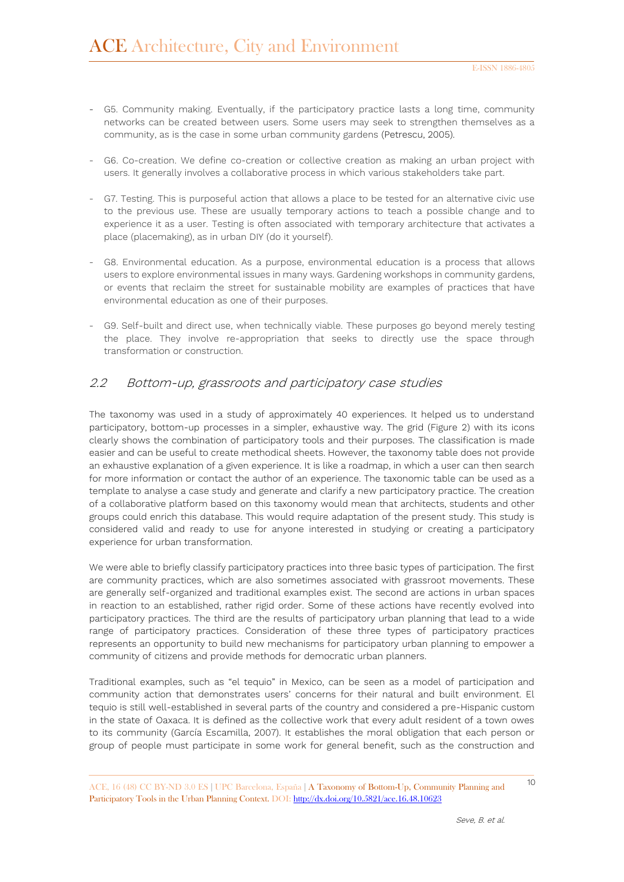- G5. Community making. Eventually, if the participatory practice lasts a long time, community networks can be created between users. Some users may seek to strengthen themselves as a community, as is the case in some urban community gardens (Petrescu, 2005).
- G6. Co-creation. We define co-creation or collective creation as making an urban project with users. It generally involves a collaborative process in which various stakeholders take part.
- G7. Testing. This is purposeful action that allows a place to be tested for an alternative civic use to the previous use. These are usually temporary actions to teach a possible change and to experience it as a user. Testing is often associated with temporary architecture that activates a place (placemaking), as in urban DIY (do it yourself).
- G8. Environmental education. As a purpose, environmental education is a process that allows users to explore environmental issues in many ways. Gardening workshops in community gardens, or events that reclaim the street for sustainable mobility are examples of practices that have environmental education as one of their purposes.
- G9. Self-built and direct use, when technically viable. These purposes go beyond merely testing the place. They involve re-appropriation that seeks to directly use the space through transformation or construction.

#### 2.2 Bottom-up, grassroots and participatory case studies

The taxonomy was used in a study of approximately 40 experiences. It helped us to understand participatory, bottom-up processes in a simpler, exhaustive way. The grid (Figure 2) with its icons clearly shows the combination of participatory tools and their purposes. The classification is made easier and can be useful to create methodical sheets. However, the taxonomy table does not provide an exhaustive explanation of a given experience. It is like a roadmap, in which a user can then search for more information or contact the author of an experience. The taxonomic table can be used as a template to analyse a case study and generate and clarify a new participatory practice. The creation of a collaborative platform based on this taxonomy would mean that architects, students and other groups could enrich this database. This would require adaptation of the present study. This study is considered valid and ready to use for anyone interested in studying or creating a participatory experience for urban transformation.

We were able to briefly classify participatory practices into three basic types of participation. The first are community practices, which are also sometimes associated with grassroot movements. These are generally self-organized and traditional examples exist. The second are actions in urban spaces in reaction to an established, rather rigid order. Some of these actions have recently evolved into participatory practices. The third are the results of participatory urban planning that lead to a wide range of participatory practices. Consideration of these three types of participatory practices represents an opportunity to build new mechanisms for participatory urban planning to empower a community of citizens and provide methods for democratic urban planners.

Traditional examples, such as "el tequio" in Mexico, can be seen as a model of participation and community action that demonstrates users' concerns for their natural and built environment. El tequio is still well-established in several parts of the country and considered a pre-Hispanic custom in the state of Oaxaca. It is defined as the collective work that every adult resident of a town owes to its community (García Escamilla, 2007). It establishes the moral obligation that each person or group of people must participate in some work for general benefit, such as the construction and

<sup>10</sup> ACE, 16 (48) CC BY-ND 3.0 ES **<sup>|</sup>**UPC Barcelona, España **<sup>|</sup>** A Taxonomy of Bottom-Up, Community Planning and Participatory Tools in the Urban Planning Context. DOI[: http://dx.doi.org/10.5821/ace.16.48.10623](http://dx.doi.org/10.5821/ace.16.48.10623)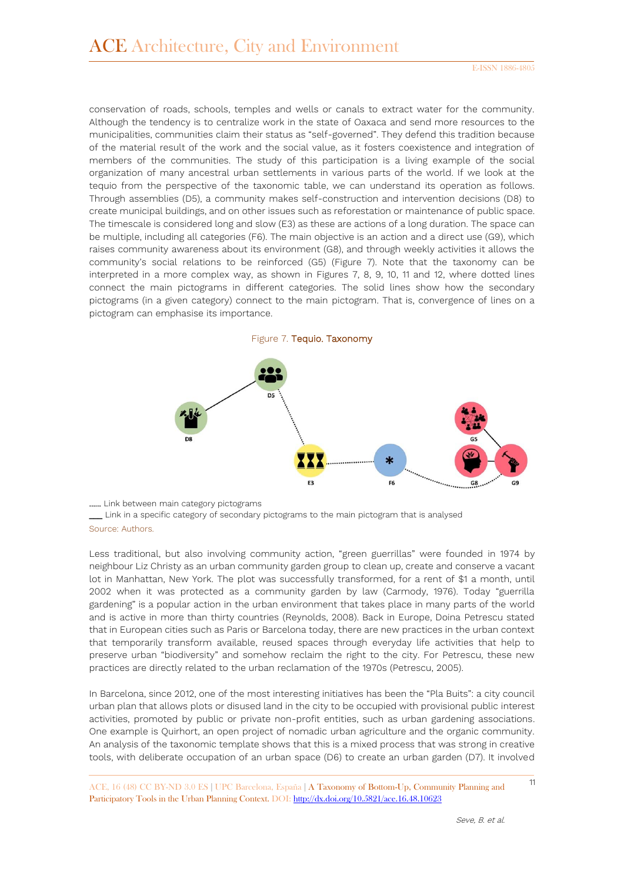conservation of roads, schools, temples and wells or canals to extract water for the community. Although the tendency is to centralize work in the state of Oaxaca and send more resources to the municipalities, communities claim their status as "self-governed". They defend this tradition because of the material result of the work and the social value, as it fosters coexistence and integration of members of the communities. The study of this participation is a living example of the social organization of many ancestral urban settlements in various parts of the world. If we look at the tequio from the perspective of the taxonomic table, we can understand its operation as follows. Through assemblies (D5), a community makes self-construction and intervention decisions (D8) to create municipal buildings, and on other issues such as reforestation or maintenance of public space. The timescale is considered long and slow (E3) as these are actions of a long duration. The space can be multiple, including all categories (F6). The main objective is an action and a direct use (G9), which raises community awareness about its environment (G8), and through weekly activities it allows the community's social relations to be reinforced (G5) (Figure 7). Note that the taxonomy can be interpreted in a more complex way, as shown in Figures 7, 8, 9, 10, 11 and 12, where dotted lines connect the main pictograms in different categories. The solid lines show how the secondary pictograms (in a given category) connect to the main pictogram. That is, convergence of lines on a pictogram can emphasise its importance.





...... Link between main category pictograms

\_\_\_ Link in a specific category of secondary pictograms to the main pictogram that is analysed Source: Authors.

Less traditional, but also involving community action, "green guerrillas" were founded in 1974 by neighbour Liz Christy as an urban community garden group to clean up, create and conserve a vacant lot in Manhattan, New York. The plot was successfully transformed, for a rent of \$1 a month, until 2002 when it was protected as a community garden by law (Carmody, 1976). Today "guerrilla gardening" is a popular action in the urban environment that takes place in many parts of the world and is active in more than thirty countries (Reynolds, 2008). Back in Europe, Doina Petrescu stated that in European cities such as Paris or Barcelona today, there are new practices in the urban context that temporarily transform available, reused spaces through everyday life activities that help to preserve urban "biodiversity" and somehow reclaim the right to the city. For Petrescu, these new practices are directly related to the urban reclamation of the 1970s (Petrescu, 2005).

In Barcelona, since 2012, one of the most interesting initiatives has been the "Pla Buits": a city council urban plan that allows plots or disused land in the city to be occupied with provisional public interest activities, promoted by public or private non-profit entities, such as urban gardening associations. One example is Quirhort, an open project of nomadic urban agriculture and the organic community. An analysis of the taxonomic template shows that this is a mixed process that was strong in creative tools, with deliberate occupation of an urban space (D6) to create an urban garden (D7). It involved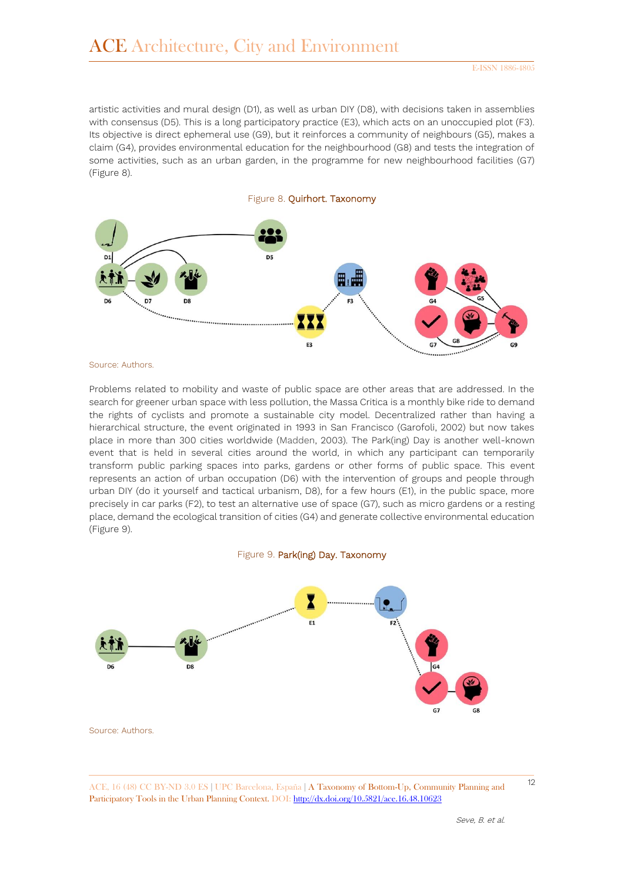artistic activities and mural design (D1), as well as urban DIY (D8), with decisions taken in assemblies with consensus (D5). This is a long participatory practice (E3), which acts on an unoccupied plot (F3). Its objective is direct ephemeral use (G9), but it reinforces a community of neighbours (G5), makes a claim (G4), provides environmental education for the neighbourhood (G8) and tests the integration of some activities, such as an urban garden, in the programme for new neighbourhood facilities (G7) (Figure 8).



Source: Authors.

Problems related to mobility and waste of public space are other areas that are addressed. In the search for greener urban space with less pollution, the Massa Critica is a monthly bike ride to demand the rights of cyclists and promote a sustainable city model. Decentralized rather than having a hierarchical structure, the event originated in 1993 in San Francisco (Garofoli, 2002) but now takes place in more than 300 cities worldwide (Madden, 2003). The Park(ing) Day is another well-known event that is held in several cities around the world, in which any participant can temporarily transform public parking spaces into parks, gardens or other forms of public space. This event represents an action of urban occupation (D6) with the intervention of groups and people through urban DIY (do it yourself and tactical urbanism, D8), for a few hours (E1), in the public space, more precisely in car parks (F2), to test an alternative use of space (G7), such as micro gardens or a resting place, demand the ecological transition of cities (G4) and generate collective environmental education (Figure 9).

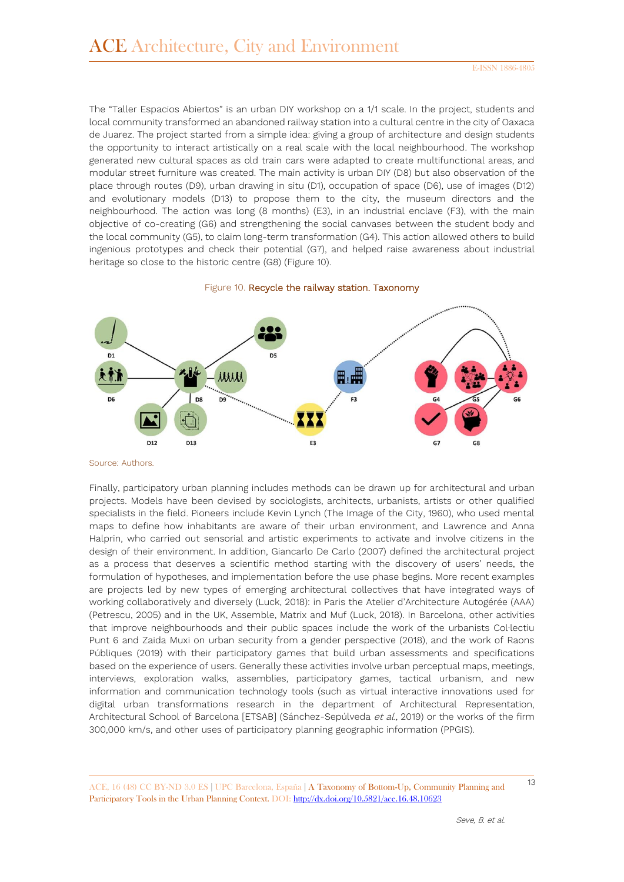The "Taller Espacios Abiertos" is an urban DIY workshop on a 1/1 scale. In the project, students and local community transformed an abandoned railway station into a cultural centre in the city of Oaxaca de Juarez. The project started from a simple idea: giving a group of architecture and design students the opportunity to interact artistically on a real scale with the local neighbourhood. The workshop generated new cultural spaces as old train cars were adapted to create multifunctional areas, and modular street furniture was created. The main activity is urban DIY (D8) but also observation of the place through routes (D9), urban drawing in situ (D1), occupation of space (D6), use of images (D12) and evolutionary models (D13) to propose them to the city, the museum directors and the neighbourhood. The action was long (8 months) (E3), in an industrial enclave (F3), with the main objective of co-creating (G6) and strengthening the social canvases between the student body and the local community (G5), to claim long-term transformation (G4). This action allowed others to build ingenious prototypes and check their potential (G7), and helped raise awareness about industrial heritage so close to the historic centre (G8) (Figure 10).





Source: Authors.

Finally, participatory urban planning includes methods can be drawn up for architectural and urban projects. Models have been devised by sociologists, architects, urbanists, artists or other qualified specialists in the field. Pioneers include Kevin Lynch (The Image of the City, 1960), who used mental maps to define how inhabitants are aware of their urban environment, and Lawrence and Anna Halprin, who carried out sensorial and artistic experiments to activate and involve citizens in the design of their environment. In addition, Giancarlo De Carlo (2007) defined the architectural project as a process that deserves a scientific method starting with the discovery of users' needs, the formulation of hypotheses, and implementation before the use phase begins. More recent examples are projects led by new types of emerging architectural collectives that have integrated ways of working collaboratively and diversely (Luck, 2018): in Paris the Atelier d'Architecture Autogérée (AAA) (Petrescu, 2005) and in the UK, Assemble, Matrix and Muf (Luck, 2018). In Barcelona, other activities that improve neighbourhoods and their public spaces include the work of the urbanists Col∙lectiu Punt 6 and Zaida Muxi on urban security from a gender perspective (2018), and the work of Raons Públiques (2019) with their participatory games that build urban assessments and specifications based on the experience of users. Generally these activities involve urban perceptual maps, meetings, interviews, exploration walks, assemblies, participatory games, tactical urbanism, and new information and communication technology tools (such as virtual interactive innovations used for digital urban transformations research in the department of Architectural Representation, Architectural School of Barcelona [ETSAB] (Sánchez-Sepúlveda et al., 2019) or the works of the firm 300,000 km/s, and other uses of participatory planning geographic information (PPGIS).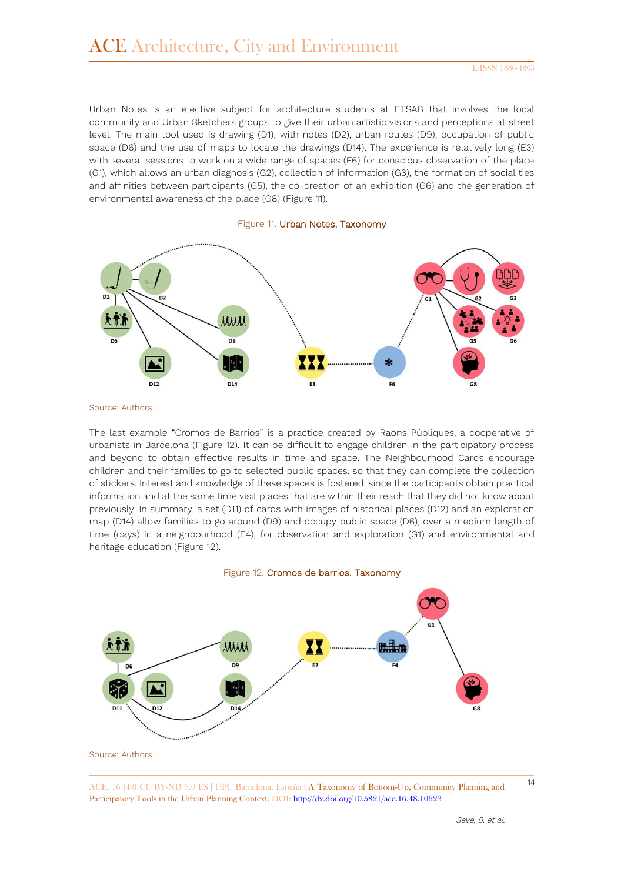Urban Notes is an elective subject for architecture students at ETSAB that involves the local community and Urban Sketchers groups to give their urban artistic visions and perceptions at street level. The main tool used is drawing (D1), with notes (D2), urban routes (D9), occupation of public space (D6) and the use of maps to locate the drawings (D14). The experience is relatively long (E3) with several sessions to work on a wide range of spaces (F6) for conscious observation of the place (G1), which allows an urban diagnosis (G2), collection of information (G3), the formation of social ties and affinities between participants (G5), the co-creation of an exhibition (G6) and the generation of environmental awareness of the place (G8) (Figure 11).





Source: Authors.

The last example "Cromos de Barrios" is a practice created by Raons Públiques, a cooperative of urbanists in Barcelona (Figure 12). It can be difficult to engage children in the participatory process and beyond to obtain effective results in time and space. The Neighbourhood Cards encourage children and their families to go to selected public spaces, so that they can complete the collection of stickers. Interest and knowledge of these spaces is fostered, since the participants obtain practical information and at the same time visit places that are within their reach that they did not know about previously. In summary, a set (D11) of cards with images of historical places (D12) and an exploration map (D14) allow families to go around (D9) and occupy public space (D6), over a medium length of time (days) in a neighbourhood (F4), for observation and exploration (G1) and environmental and heritage education (Figure 12).

#### Figure 12. Cromos de barrios. Taxonomy

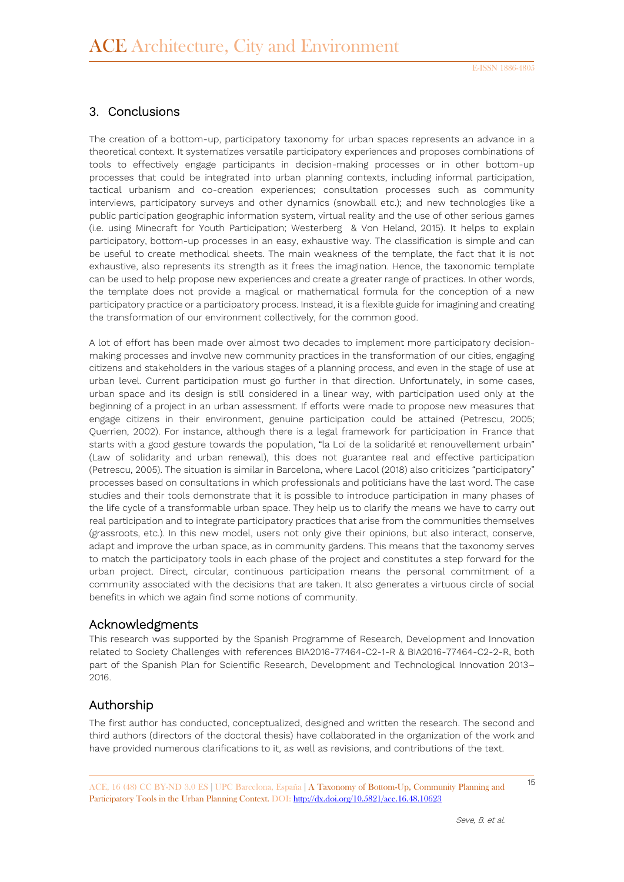## 3. Conclusions

The creation of a bottom-up, participatory taxonomy for urban spaces represents an advance in a theoretical context. It systematizes versatile participatory experiences and proposes combinations of tools to effectively engage participants in decision-making processes or in other bottom-up processes that could be integrated into urban planning contexts, including informal participation, tactical urbanism and co-creation experiences; consultation processes such as community interviews, participatory surveys and other dynamics (snowball etc.); and new technologies like a public participation geographic information system, virtual reality and the use of other serious games (i.e. using Minecraft for Youth Participation; Westerberg & Von Heland, 2015). It helps to explain participatory, bottom-up processes in an easy, exhaustive way. The classification is simple and can be useful to create methodical sheets. The main weakness of the template, the fact that it is not exhaustive, also represents its strength as it frees the imagination. Hence, the taxonomic template can be used to help propose new experiences and create a greater range of practices. In other words, the template does not provide a magical or mathematical formula for the conception of a new participatory practice or a participatory process. Instead, it is a flexible guide for imagining and creating the transformation of our environment collectively, for the common good.

A lot of effort has been made over almost two decades to implement more participatory decisionmaking processes and involve new community practices in the transformation of our cities, engaging citizens and stakeholders in the various stages of a planning process, and even in the stage of use at urban level. Current participation must go further in that direction. Unfortunately, in some cases, urban space and its design is still considered in a linear way, with participation used only at the beginning of a project in an urban assessment. If efforts were made to propose new measures that engage citizens in their environment, genuine participation could be attained (Petrescu, 2005; Querrien, 2002). For instance, although there is a legal framework for participation in France that starts with a good gesture towards the population, "la Loi de la solidarité et renouvellement urbain" (Law of solidarity and urban renewal), this does not guarantee real and effective participation (Petrescu, 2005). The situation is similar in Barcelona, where Lacol (2018) also criticizes "participatory" processes based on consultations in which professionals and politicians have the last word. The case studies and their tools demonstrate that it is possible to introduce participation in many phases of the life cycle of a transformable urban space. They help us to clarify the means we have to carry out real participation and to integrate participatory practices that arise from the communities themselves (grassroots, etc.). In this new model, users not only give their opinions, but also interact, conserve, adapt and improve the urban space, as in community gardens. This means that the taxonomy serves to match the participatory tools in each phase of the project and constitutes a step forward for the urban project. Direct, circular, continuous participation means the personal commitment of a community associated with the decisions that are taken. It also generates a virtuous circle of social benefits in which we again find some notions of community.

### Acknowledgments

This research was supported by the Spanish Programme of Research, Development and Innovation related to Society Challenges with references BIA2016-77464-C2-1-R & BIA2016-77464-C2-2-R, both part of the Spanish Plan for Scientific Research, Development and Technological Innovation 2013– 2016.

### Authorship

The first author has conducted, conceptualized, designed and written the research. The second and third authors (directors of the doctoral thesis) have collaborated in the organization of the work and have provided numerous clarifications to it, as well as revisions, and contributions of the text.

<sup>15</sup> ACE, 16 (48) CC BY-ND 3.0 ES **<sup>|</sup>**UPC Barcelona, España **<sup>|</sup>** A Taxonomy of Bottom-Up, Community Planning and Participatory Tools in the Urban Planning Context. DOI[: http://dx.doi.org/10.5821/ace.16.48.10623](http://dx.doi.org/10.5821/ace.16.48.10623)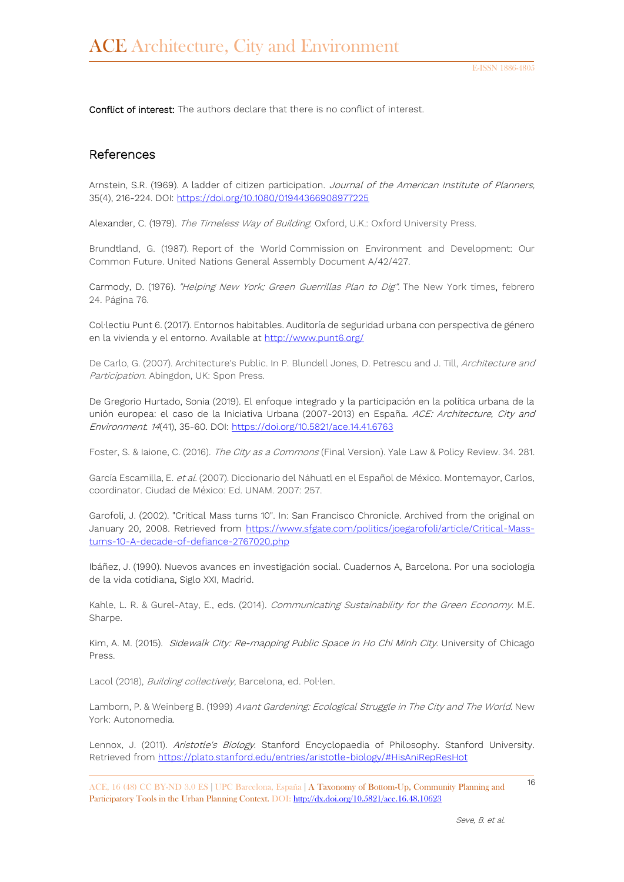Conflict of interest: The authors declare that there is no conflict of interest.

#### References

Arnstein, S.R. (1969). A ladder of citizen participation. Journal of the American Institute of Planners, 35(4), 216-224. DOI:<https://doi.org/10.1080/01944366908977225>

Alexander, C. (1979). The Timeless Way of Building. Oxford, U.K.: Oxford University Press.

Brundtland, G. (1987). Report of the World Commission on Environment and Development: Our Common Future. United Nations General Assembly Document A/42/427.

Carmody, D. (1976). "Helping New York; Green Guerrillas Plan to Dig". The New York times, febrero 24. Página 76.

Col∙lectiu Punt 6. (2017). Entornos habitables. Auditoría de seguridad urbana con perspectiva de género en la vivienda y el entorno. Available at<http://www.punt6.org/>

De Carlo, G. (2007). Architecture's Public. In P. Blundell Jones, D. Petrescu and J. Till, Architecture and Participation. Abingdon, UK: Spon Press.

De Gregorio Hurtado, Sonia (2019). El enfoque integrado y la participación en la política urbana de la unión europea: el caso de la Iniciativa Urbana (2007-2013) en España. ACE: Architecture, City and Environment. 14(41), 35-60. DOI:<https://doi.org/10.5821/ace.14.41.6763>

Foster, S. & Iaione, C. (2016). The City as a Commons (Final Version). Yale Law & Policy Review. 34. 281.

García Escamilla, E. et al. (2007). Diccionario del Náhuatl en el Español de México. Montemayor, Carlos, coordinator. Ciudad de México: Ed. UNAM. 2007: 257.

Garofoli, J. (2002). "Critical Mass turns 10". In: San Francisco Chronicle. Archived from the original on January 20, 2008. Retrieved from [https://www.sfgate.com/politics/joegarofoli/article/Critical-Mass](https://www.sfgate.com/politics/joegarofoli/article/Critical-Mass-turns-10-A-decade-of-defiance-2767020.php)[turns-10-A-decade-of-defiance-2767020.php](https://www.sfgate.com/politics/joegarofoli/article/Critical-Mass-turns-10-A-decade-of-defiance-2767020.php)

Ibáñez, J. (1990). Nuevos avances en investigación social. Cuadernos A, Barcelona. Por una sociología de la vida cotidiana, Siglo XXI, Madrid.

Kahle, L. R. & Gurel-Atay, E., eds. (2014). Communicating Sustainability for the Green Economy. M.E. Sharpe.

Kim, A. M. (2015). Sidewalk City: Re-mapping Public Space in Ho Chi Minh City. University of Chicago Press.

Lacol (2018), Building collectively, Barcelona, ed. Pol·len.

Lamborn, P. & Weinberg B. (1999) Avant Gardening: Ecological Struggle in The City and The World. New York: Autonomedia.

Lennox, J. (2011). Aristotle's Biology. Stanford Encyclopaedia of Philosophy. Stanford University. Retrieved from <https://plato.stanford.edu/entries/aristotle-biology/#HisAniRepResHot>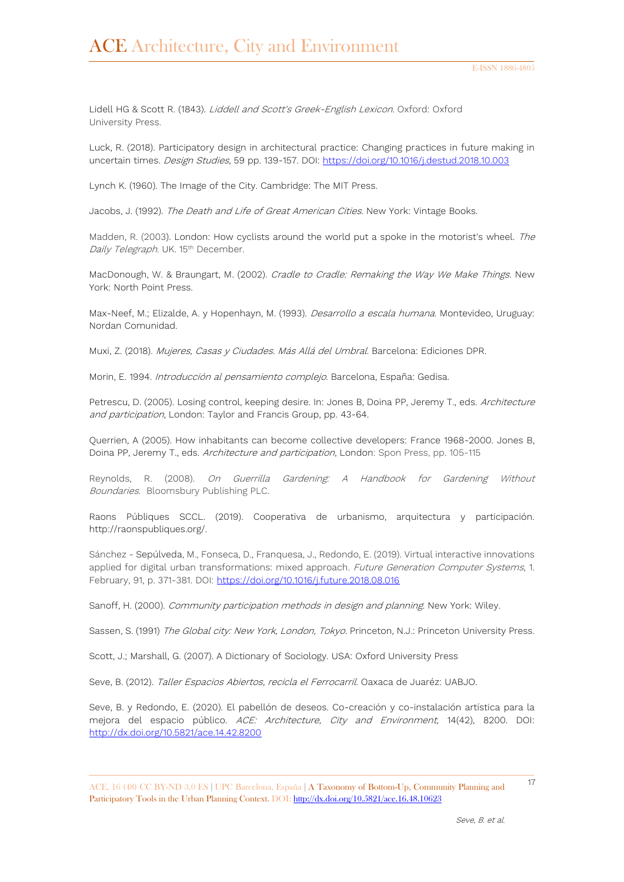Lidell HG & Scott R. (1843). Liddell and Scott's Greek-English Lexicon. Oxford: Oxford University Press.

Luck, R. (2018). Participatory design in architectural practice: Changing practices in future making in uncertain times. Design Studies, 59 pp. 139-157. DOI:<https://doi.org/10.1016/j.destud.2018.10.003>

Lynch K. (1960). The Image of the City. Cambridge: The MIT Press.

Jacobs, J. (1992). The Death and Life of Great American Cities. New York: Vintage Books.

Madden, R. (2003). London: How cyclists around the world put a spoke in the motorist's wheel. The Daily Telegraph. UK. 15<sup>th</sup> December.

MacDonough, W. & Braungart, M. (2002). Cradle to Cradle: Remaking the Way We Make Things. New York: North Point Press.

Max-Neef, M.; Elizalde, A. y Hopenhayn, M. (1993). Desarrollo a escala humana. Montevideo, Uruguay: Nordan Comunidad.

Muxi, Z. (2018). Mujeres, Casas y Ciudades. Más Allá del Umbral. Barcelona: Ediciones DPR.

Morin, E. 1994. Introducción al pensamiento complejo. Barcelona, España: Gedisa.

Petrescu, D. (2005). Losing control, keeping desire. In: Jones B, Doina PP, Jeremy T., eds. Architecture and participation, London: Taylor and Francis Group, pp. 43-64.

Querrien, A (2005). How inhabitants can become collective developers: France 1968-2000. Jones B, Doina PP, Jeremy T., eds. Architecture and participation, London: Spon Press, pp. 105-115

Reynolds, R. (2008). On Guerrilla Gardening: A Handbook for Gardening Without Boundaries. Bloomsbury Publishing PLC.

Raons Públiques SCCL. (2019). Cooperativa de urbanismo, arquitectura y participación. http://raonspubliques.org/.

Sánchez - Sepúlveda, M., Fonseca, D., Franquesa, J., Redondo, E. (2019). Virtual interactive innovations applied for digital urban transformations: mixed approach. Future Generation Computer Systems, 1. February, 91, p. 371-381. DOI: <https://doi.org/10.1016/j.future.2018.08.016>

Sanoff, H. (2000). Community participation methods in design and planning. New York: Wiley.

Sassen, S. (1991) The Global city: New York, London, Tokyo. Princeton, N.J.: Princeton University Press.

Scott, J.; Marshall, G. (2007). A Dictionary of Sociology. USA: Oxford University Press

Seve, B. (2012). Taller Espacios Abiertos, recicla el Ferrocarril. Oaxaca de Juaréz: UABJO.

Seve, B. y Redondo, E. (2020). El pabellón de deseos. Co-creación y co-instalación artística para la mejora del espacio público. ACE: Architecture, City and Environment, 14(42), 8200. DOI: <http://dx.doi.org/10.5821/ace.14.42.8200>

<sup>17</sup> ACE, 16 (48) CC BY-ND 3.0 ES **<sup>|</sup>**UPC Barcelona, España **<sup>|</sup>** A Taxonomy of Bottom-Up, Community Planning and Participatory Tools in the Urban Planning Context. DOI[: http://dx.doi.org/10.5821/ace.16.48.10623](http://dx.doi.org/10.5821/ace.16.48.10623)